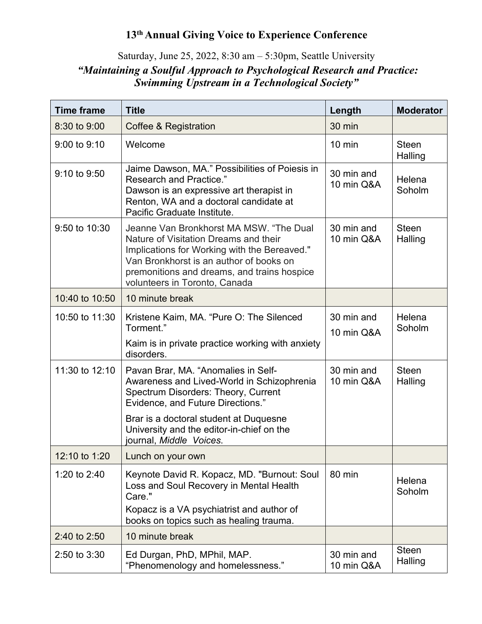## **13th Annual Giving Voice to Experience Conference**

## Saturday, June 25, 2022, 8:30 am – 5:30pm, Seattle University *"Maintaining a Soulful Approach to Psychological Research and Practice: Swimming Upstream in a Technological Society"*

| <b>Time frame</b> | <b>Title</b>                                                                                                                                                                                                                                                | Length                   | <b>Moderator</b>        |
|-------------------|-------------------------------------------------------------------------------------------------------------------------------------------------------------------------------------------------------------------------------------------------------------|--------------------------|-------------------------|
| 8:30 to 9:00      | Coffee & Registration                                                                                                                                                                                                                                       | 30 min                   |                         |
| $9:00$ to $9:10$  | Welcome                                                                                                                                                                                                                                                     | $10 \text{ min}$         | <b>Steen</b><br>Halling |
| $9:10$ to $9:50$  | Jaime Dawson, MA." Possibilities of Poiesis in<br>Research and Practice."<br>Dawson is an expressive art therapist in<br>Renton, WA and a doctoral candidate at<br>Pacific Graduate Institute.                                                              | 30 min and<br>10 min Q&A | Helena<br>Soholm        |
| 9:50 to 10:30     | Jeanne Van Bronkhorst MA MSW. "The Dual<br>Nature of Visitation Dreams and their<br>Implications for Working with the Bereaved."<br>Van Bronkhorst is an author of books on<br>premonitions and dreams, and trains hospice<br>volunteers in Toronto, Canada | 30 min and<br>10 min Q&A | <b>Steen</b><br>Halling |
| 10:40 to 10:50    | 10 minute break                                                                                                                                                                                                                                             |                          |                         |
| 10:50 to 11:30    | Kristene Kaim, MA. "Pure O: The Silenced<br>Torment."                                                                                                                                                                                                       | 30 min and<br>10 min Q&A | Helena<br>Soholm        |
|                   | Kaim is in private practice working with anxiety<br>disorders.                                                                                                                                                                                              |                          |                         |
| 11:30 to 12:10    | Pavan Brar, MA. "Anomalies in Self-<br>Awareness and Lived-World in Schizophrenia<br>Spectrum Disorders: Theory, Current<br><b>Evidence, and Future Directions."</b>                                                                                        | 30 min and<br>10 min Q&A | <b>Steen</b><br>Halling |
|                   | Brar is a doctoral student at Duquesne<br>University and the editor-in-chief on the<br>journal, Middle Voices.                                                                                                                                              |                          |                         |
| 12:10 to 1:20     | Lunch on your own                                                                                                                                                                                                                                           |                          |                         |
| 1:20 to 2:40      | Keynote David R. Kopacz, MD. "Burnout: Soul<br>Loss and Soul Recovery in Mental Health<br>Care."<br>Kopacz is a VA psychiatrist and author of<br>books on topics such as healing trauma.                                                                    | 80 min                   | Helena<br>Soholm        |
| 2:40 to 2:50      | 10 minute break                                                                                                                                                                                                                                             |                          |                         |
| $2:50$ to $3:30$  | Ed Durgan, PhD, MPhil, MAP.<br>"Phenomenology and homelessness."                                                                                                                                                                                            | 30 min and<br>10 min Q&A | <b>Steen</b><br>Halling |